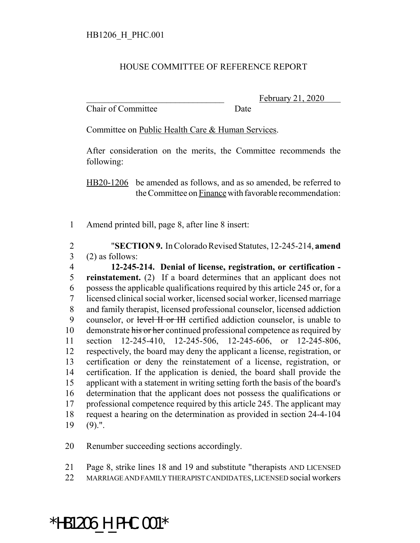## HOUSE COMMITTEE OF REFERENCE REPORT

Chair of Committee Date

February 21, 2020

Committee on Public Health Care & Human Services.

After consideration on the merits, the Committee recommends the following:

HB20-1206 be amended as follows, and as so amended, be referred to the Committee on Finance with favorable recommendation:

Amend printed bill, page 8, after line 8 insert:

 "**SECTION 9.** In Colorado Revised Statutes, 12-245-214, **amend** (2) as follows:

 **12-245-214. Denial of license, registration, or certification - reinstatement.** (2) If a board determines that an applicant does not possess the applicable qualifications required by this article 245 or, for a licensed clinical social worker, licensed social worker, licensed marriage and family therapist, licensed professional counselor, licensed addiction 9 counselor, or level II or III certified addiction counselor, is unable to 10 demonstrate his or her continued professional competence as required by section 12-245-410, 12-245-506, 12-245-606, or 12-245-806, respectively, the board may deny the applicant a license, registration, or certification or deny the reinstatement of a license, registration, or certification. If the application is denied, the board shall provide the applicant with a statement in writing setting forth the basis of the board's determination that the applicant does not possess the qualifications or professional competence required by this article 245. The applicant may request a hearing on the determination as provided in section 24-4-104 (9).".

Renumber succeeding sections accordingly.

Page 8, strike lines 18 and 19 and substitute "therapists AND LICENSED

MARRIAGE AND FAMILY THERAPIST CANDIDATES, LICENSED social workers

## \*HB1206\_H\_PHC.001\*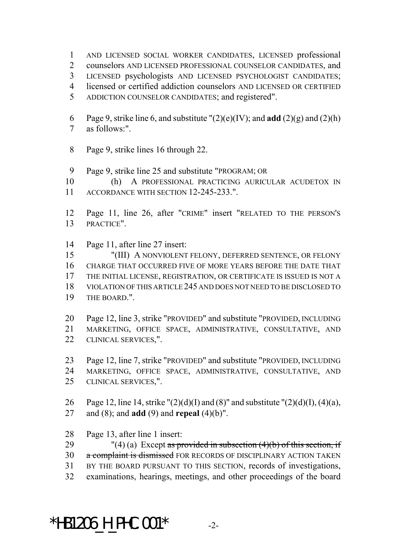AND LICENSED SOCIAL WORKER CANDIDATES, LICENSED professional

counselors AND LICENSED PROFESSIONAL COUNSELOR CANDIDATES, and

- LICENSED psychologists AND LICENSED PSYCHOLOGIST CANDIDATES;
- licensed or certified addiction counselors AND LICENSED OR CERTIFIED
- ADDICTION COUNSELOR CANDIDATES; and registered".
- 6 Page 9, strike line 6, and substitute  $"(2)(e)(IV)$ ; and **add**  $(2)(g)$  and  $(2)(h)$ as follows:".
- Page 9, strike lines 16 through 22.
- Page 9, strike line 25 and substitute "PROGRAM; OR

 (h) A PROFESSIONAL PRACTICING AURICULAR ACUDETOX IN ACCORDANCE WITH SECTION 12-245-233.".

- Page 11, line 26, after "CRIME" insert "RELATED TO THE PERSON'S PRACTICE".
- Page 11, after line 27 insert:

 "(III) A NONVIOLENT FELONY, DEFERRED SENTENCE, OR FELONY CHARGE THAT OCCURRED FIVE OF MORE YEARS BEFORE THE DATE THAT THE INITIAL LICENSE, REGISTRATION, OR CERTIFICATE IS ISSUED IS NOT A VIOLATION OF THIS ARTICLE 245 AND DOES NOT NEED TO BE DISCLOSED TO THE BOARD.".

 Page 12, line 3, strike "PROVIDED" and substitute "PROVIDED, INCLUDING MARKETING, OFFICE SPACE, ADMINISTRATIVE, CONSULTATIVE, AND CLINICAL SERVICES,".

 Page 12, line 7, strike "PROVIDED" and substitute "PROVIDED, INCLUDING MARKETING, OFFICE SPACE, ADMINISTRATIVE, CONSULTATIVE, AND CLINICAL SERVICES,".

- 26 Page 12, line 14, strike " $(2)(d)(I)$  and  $(8)$ " and substitute " $(2)(d)(I)$ ,  $(4)(a)$ , and (8); and **add** (9) and **repeal** (4)(b)".
- Page 13, after line 1 insert:

29 "(4) (a) Except as provided in subsection  $(4)(b)$  of this section, if 30 a complaint is dismissed FOR RECORDS OF DISCIPLINARY ACTION TAKEN BY THE BOARD PURSUANT TO THIS SECTION, records of investigations, examinations, hearings, meetings, and other proceedings of the board

\*HB1206 H PHC.001\*  $-2$ -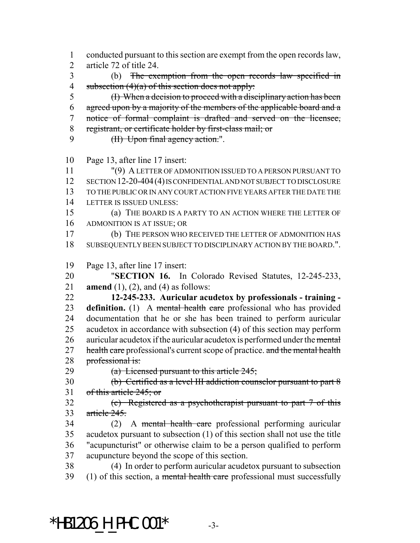conducted pursuant to this section are exempt from the open records law, article 72 of title 24. (b) The exemption from the open records law specified in 4 subsection  $(4)(a)$  of this section does not apply: (I) When a decision to proceed with a disciplinary action has been agreed upon by a majority of the members of the applicable board and a notice of formal complaint is drafted and served on the licensee, registrant, or certificate holder by first-class mail; or 9 (H) Upon final agency action.". Page 13, after line 17 insert: "(9) A LETTER OF ADMONITION ISSUED TO A PERSON PURSUANT TO 12 SECTION 12-20-404 (4) IS CONFIDENTIAL AND NOT SUBJECT TO DISCLOSURE TO THE PUBLIC OR IN ANY COURT ACTION FIVE YEARS AFTER THE DATE THE LETTER IS ISSUED UNLESS: (a) THE BOARD IS A PARTY TO AN ACTION WHERE THE LETTER OF ADMONITION IS AT ISSUE; OR (b) THE PERSON WHO RECEIVED THE LETTER OF ADMONITION HAS SUBSEQUENTLY BEEN SUBJECT TO DISCIPLINARY ACTION BY THE BOARD.". Page 13, after line 17 insert: "**SECTION 16.** In Colorado Revised Statutes, 12-245-233, **amend** (1), (2), and (4) as follows: **12-245-233. Auricular acudetox by professionals - training - definition.** (1) A mental health care professional who has provided documentation that he or she has been trained to perform auricular acudetox in accordance with subsection (4) of this section may perform 26 auricular acudetox if the auricular acudetox is performed under the mental 27 health care professional's current scope of practice. and the mental health 28 professional is:  $(a)$  Licensed pursuant to this article 245; (b) Certified as a level III addiction counselor pursuant to part 8 of this article 245; or (c) Registered as a psychotherapist pursuant to part 7 of this article 245. (2) A mental health care professional performing auricular acudetox pursuant to subsection (1) of this section shall not use the title "acupuncturist" or otherwise claim to be a person qualified to perform acupuncture beyond the scope of this section. (4) In order to perform auricular acudetox pursuant to subsection 39 (1) of this section, a mental health care professional must successfully

 $*$ HB1206 H PHC.001 $*$  -3-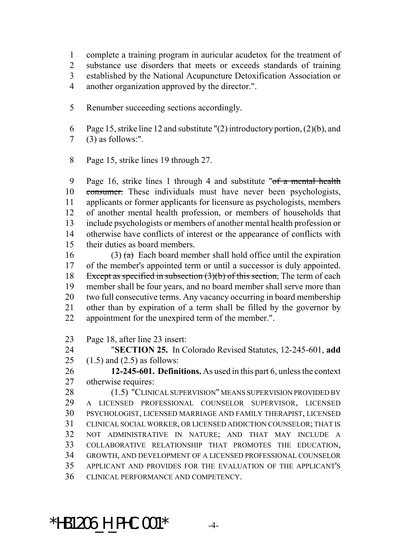complete a training program in auricular acudetox for the treatment of substance use disorders that meets or exceeds standards of training established by the National Acupuncture Detoxification Association or another organization approved by the director.".

- Renumber succeeding sections accordingly.
- Page 15, strike line 12 and substitute "(2) introductory portion, (2)(b), and (3) as follows:".
- Page 15, strike lines 19 through 27.

 Page 16, strike lines 1 through 4 and substitute "of a mental health 10 consumer. These individuals must have never been psychologists, applicants or former applicants for licensure as psychologists, members of another mental health profession, or members of households that include psychologists or members of another mental health profession or otherwise have conflicts of interest or the appearance of conflicts with their duties as board members.

16 (3)  $\left(\frac{a}{b}\right)$  Each board member shall hold office until the expiration of the member's appointed term or until a successor is duly appointed. 18 Except as specified in subsection (3)(b) of this section. The term of each member shall be four years, and no board member shall serve more than two full consecutive terms. Any vacancy occurring in board membership other than by expiration of a term shall be filled by the governor by appointment for the unexpired term of the member.".

Page 18, after line 23 insert:

 "**SECTION 25.** In Colorado Revised Statutes, 12-245-601, **add** 25 (1.5) and  $(2.5)$  as follows:

 **12-245-601. Definitions.** As used in this part 6, unless the context otherwise requires:

28 (1.5) "CLINICAL SUPERVISION" MEANS SUPERVISION PROVIDED BY A LICENSED PROFESSIONAL COUNSELOR SUPERVISOR, LICENSED PSYCHOLOGIST, LICENSED MARRIAGE AND FAMILY THERAPIST, LICENSED CLINICAL SOCIAL WORKER, OR LICENSED ADDICTION COUNSELOR; THAT IS NOT ADMINISTRATIVE IN NATURE; AND THAT MAY INCLUDE A COLLABORATIVE RELATIONSHIP THAT PROMOTES THE EDUCATION, GROWTH, AND DEVELOPMENT OF A LICENSED PROFESSIONAL COUNSELOR APPLICANT AND PROVIDES FOR THE EVALUATION OF THE APPLICANT'S CLINICAL PERFORMANCE AND COMPETENCY.

 $*$ HB1206 H PHC.001 $*$  -4-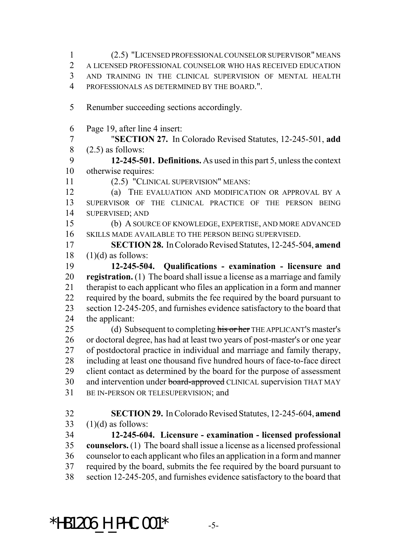(2.5) "LICENSED PROFESSIONAL COUNSELOR SUPERVISOR" MEANS A LICENSED PROFESSIONAL COUNSELOR WHO HAS RECEIVED EDUCATION AND TRAINING IN THE CLINICAL SUPERVISION OF MENTAL HEALTH PROFESSIONALS AS DETERMINED BY THE BOARD.". Renumber succeeding sections accordingly. Page 19, after line 4 insert: "**SECTION 27.** In Colorado Revised Statutes, 12-245-501, **add**  $(2.5)$  as follows: **12-245-501. Definitions.** As used in this part 5, unless the context otherwise requires: (2.5) "CLINICAL SUPERVISION" MEANS: (a) THE EVALUATION AND MODIFICATION OR APPROVAL BY A SUPERVISOR OF THE CLINICAL PRACTICE OF THE PERSON BEING SUPERVISED; AND (b) A SOURCE OF KNOWLEDGE, EXPERTISE, AND MORE ADVANCED SKILLS MADE AVAILABLE TO THE PERSON BEING SUPERVISED. **SECTION 28.** In Colorado Revised Statutes, 12-245-504, **amend** (1)(d) as follows: **12-245-504. Qualifications - examination - licensure and registration.** (1) The board shall issue a license as a marriage and family therapist to each applicant who files an application in a form and manner required by the board, submits the fee required by the board pursuant to section 12-245-205, and furnishes evidence satisfactory to the board that the applicant: 25 (d) Subsequent to completing his or her THE APPLICANT'S master's or doctoral degree, has had at least two years of post-master's or one year of postdoctoral practice in individual and marriage and family therapy, including at least one thousand five hundred hours of face-to-face direct client contact as determined by the board for the purpose of assessment 30 and intervention under board-approved CLINICAL supervision THAT MAY BE IN-PERSON OR TELESUPERVISION; and **SECTION 29.** In Colorado Revised Statutes, 12-245-604, **amend**  $(1)(d)$  as follows: **12-245-604. Licensure - examination - licensed professional counselors.** (1) The board shall issue a license as a licensed professional counselor to each applicant who files an application in a form and manner required by the board, submits the fee required by the board pursuant to section 12-245-205, and furnishes evidence satisfactory to the board that

 $*$ HB1206 H PHC.001 $*$  -5-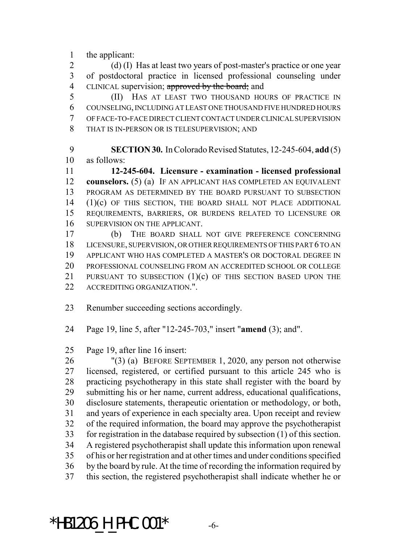the applicant:

2 (d) (I) Has at least two years of post-master's practice or one year of postdoctoral practice in licensed professional counseling under 4 CLINICAL supervision; approved by the board; and

 (II) HAS AT LEAST TWO THOUSAND HOURS OF PRACTICE IN COUNSELING, INCLUDING AT LEAST ONE THOUSAND FIVE HUNDRED HOURS OF FACE-TO-FACE DIRECT CLIENT CONTACT UNDER CLINICAL SUPERVISION THAT IS IN-PERSON OR IS TELESUPERVISION; AND

 **SECTION 30.** In Colorado Revised Statutes, 12-245-604, **add** (5) as follows:

 **12-245-604. Licensure - examination - licensed professional counselors.** (5) (a) IF AN APPLICANT HAS COMPLETED AN EQUIVALENT PROGRAM AS DETERMINED BY THE BOARD PURSUANT TO SUBSECTION (1)(c) OF THIS SECTION, THE BOARD SHALL NOT PLACE ADDITIONAL REQUIREMENTS, BARRIERS, OR BURDENS RELATED TO LICENSURE OR SUPERVISION ON THE APPLICANT.

 (b) THE BOARD SHALL NOT GIVE PREFERENCE CONCERNING LICENSURE, SUPERVISION, OR OTHER REQUIREMENTS OF THIS PART 6 TO AN APPLICANT WHO HAS COMPLETED A MASTER'S OR DOCTORAL DEGREE IN PROFESSIONAL COUNSELING FROM AN ACCREDITED SCHOOL OR COLLEGE 21 PURSUANT TO SUBSECTION  $(1)(c)$  OF THIS SECTION BASED UPON THE 22 ACCREDITING ORGANIZATION."

Renumber succeeding sections accordingly.

Page 19, line 5, after "12-245-703," insert "**amend** (3); and".

Page 19, after line 16 insert:

 "(3) (a) BEFORE SEPTEMBER 1, 2020, any person not otherwise licensed, registered, or certified pursuant to this article 245 who is practicing psychotherapy in this state shall register with the board by submitting his or her name, current address, educational qualifications, disclosure statements, therapeutic orientation or methodology, or both, and years of experience in each specialty area. Upon receipt and review of the required information, the board may approve the psychotherapist for registration in the database required by subsection (1) of this section. A registered psychotherapist shall update this information upon renewal of his or her registration and at other times and under conditions specified by the board by rule. At the time of recording the information required by this section, the registered psychotherapist shall indicate whether he or

 $*$ HB1206 H PHC.001 $*$  -6-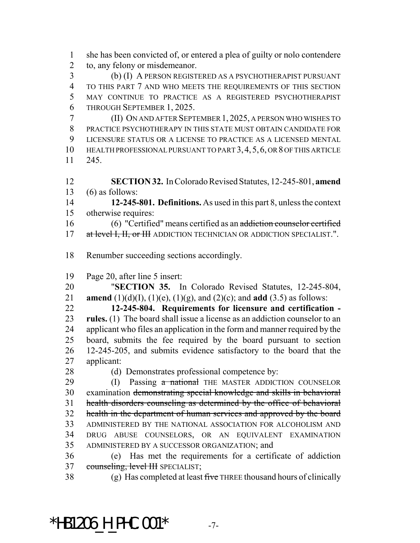she has been convicted of, or entered a plea of guilty or nolo contendere to, any felony or misdemeanor.

 (b) (I) A PERSON REGISTERED AS A PSYCHOTHERAPIST PURSUANT TO THIS PART 7 AND WHO MEETS THE REQUIREMENTS OF THIS SECTION MAY CONTINUE TO PRACTICE AS A REGISTERED PSYCHOTHERAPIST THROUGH SEPTEMBER 1, 2025.

 (II) ON AND AFTER SEPTEMBER 1, 2025, A PERSON WHO WISHES TO PRACTICE PSYCHOTHERAPY IN THIS STATE MUST OBTAIN CANDIDATE FOR LICENSURE STATUS OR A LICENSE TO PRACTICE AS A LICENSED MENTAL HEALTH PROFESSIONAL PURSUANT TO PART 3,4,5,6, OR 8 OF THIS ARTICLE 245.

 **SECTION 32.** In Colorado Revised Statutes, 12-245-801, **amend** (6) as follows:

 **12-245-801. Definitions.** As used in this part 8, unless the context otherwise requires:

 (6) "Certified" means certified as an addiction counselor certified 17 at level I, II, or III ADDICTION TECHNICIAN OR ADDICTION SPECIALIST.".

Renumber succeeding sections accordingly.

Page 20, after line 5 insert:

 "**SECTION 35.** In Colorado Revised Statutes, 12-245-804, **amend** (1)(d)(I), (1)(e), (1)(g), and (2)(c); and **add** (3.5) as follows:

 **12-245-804. Requirements for licensure and certification - rules.** (1) The board shall issue a license as an addiction counselor to an applicant who files an application in the form and manner required by the board, submits the fee required by the board pursuant to section 12-245-205, and submits evidence satisfactory to the board that the applicant:

28 (d) Demonstrates professional competence by:

29 (I) Passing a national THE MASTER ADDICTION COUNSELOR examination demonstrating special knowledge and skills in behavioral health disorders counseling as determined by the office of behavioral health in the department of human services and approved by the board ADMINISTERED BY THE NATIONAL ASSOCIATION FOR ALCOHOLISM AND DRUG ABUSE COUNSELORS, OR AN EQUIVALENT EXAMINATION ADMINISTERED BY A SUCCESSOR ORGANIZATION; and

 (e) Has met the requirements for a certificate of addiction 37 counseling, level III SPECIALIST;

38 (g) Has completed at least  $f\ddot{\textbf{r}}$  THREE thousand hours of clinically

\*HB1206 H PHC.001\*  $-7-$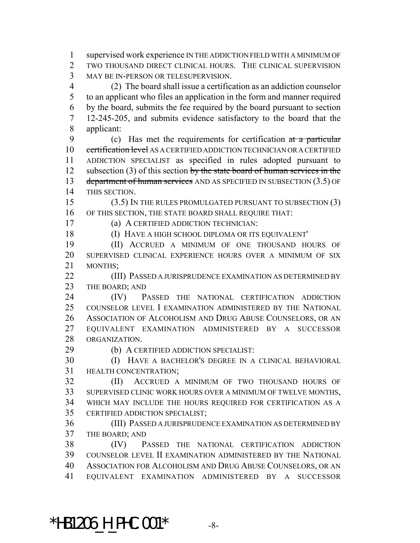supervised work experience IN THE ADDICTION FIELD WITH A MINIMUM OF TWO THOUSAND DIRECT CLINICAL HOURS. THE CLINICAL SUPERVISION MAY BE IN-PERSON OR TELESUPERVISION. (2) The board shall issue a certification as an addiction counselor to an applicant who files an application in the form and manner required by the board, submits the fee required by the board pursuant to section 12-245-205, and submits evidence satisfactory to the board that the applicant: (c) Has met the requirements for certification at a particular 10 certification level AS A CERTIFIED ADDICTION TECHNICIAN OR A CERTIFIED ADDICTION SPECIALIST as specified in rules adopted pursuant to 12 subsection (3) of this section by the state board of human services in the 13 department of human services AND AS SPECIFIED IN SUBSECTION (3.5) OF THIS SECTION. (3.5) IN THE RULES PROMULGATED PURSUANT TO SUBSECTION (3) OF THIS SECTION, THE STATE BOARD SHALL REQUIRE THAT:

(a) A CERTIFIED ADDICTION TECHNICIAN:

(I) HAVE A HIGH SCHOOL DIPLOMA OR ITS EQUIVALENT'

 (II) ACCRUED A MINIMUM OF ONE THOUSAND HOURS OF SUPERVISED CLINICAL EXPERIENCE HOURS OVER A MINIMUM OF SIX MONTHS;

 (III) PASSED A JURISPRUDENCE EXAMINATION AS DETERMINED BY 23 THE BOARD; AND

 (IV) PASSED THE NATIONAL CERTIFICATION ADDICTION COUNSELOR LEVEL I EXAMINATION ADMINISTERED BY THE NATIONAL ASSOCIATION OF ALCOHOLISM AND DRUG ABUSE COUNSELORS, OR AN EQUIVALENT EXAMINATION ADMINISTERED BY A SUCCESSOR ORGANIZATION.

(b) A CERTIFIED ADDICTION SPECIALIST:

 (I) HAVE A BACHELOR'S DEGREE IN A CLINICAL BEHAVIORAL HEALTH CONCENTRATION;

 (II) ACCRUED A MINIMUM OF TWO THOUSAND HOURS OF SUPERVISED CLINIC WORK HOURS OVER A MINIMUM OF TWELVE MONTHS, WHICH MAY INCLUDE THE HOURS REQUIRED FOR CERTIFICATION AS A CERTIFIED ADDICTION SPECIALIST;

 (III) PASSED A JURISPRUDENCE EXAMINATION AS DETERMINED BY THE BOARD; AND

 (IV) PASSED THE NATIONAL CERTIFICATION ADDICTION COUNSELOR LEVEL II EXAMINATION ADMINISTERED BY THE NATIONAL ASSOCIATION FOR ALCOHOLISM AND DRUG ABUSE COUNSELORS, OR AN EQUIVALENT EXAMINATION ADMINISTERED BY A SUCCESSOR

 $*$ HB1206 H PHC.001 $*$  -8-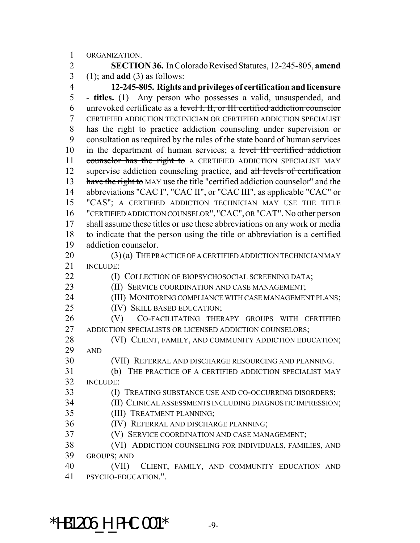ORGANIZATION.

 **SECTION 36.** In Colorado Revised Statutes, 12-245-805, **amend** (1); and **add** (3) as follows:

 **12-245-805. Rights and privileges of certification and licensure - titles.** (1) Any person who possesses a valid, unsuspended, and unrevoked certificate as a level I, II, or III certified addiction counselor CERTIFIED ADDICTION TECHNICIAN OR CERTIFIED ADDICTION SPECIALIST has the right to practice addiction counseling under supervision or consultation as required by the rules of the state board of human services in the department of human services; a level III certified addiction 11 counselor has the right to A CERTIFIED ADDICTION SPECIALIST MAY 12 supervise addiction counseling practice, and all levels of certification have the right to MAY use the title "certified addiction counselor" and the 14 abbreviations "CAC I", "CAC II", or "CAC III", as applicable "CAC" or "CAS"; A CERTIFIED ADDICTION TECHNICIAN MAY USE THE TITLE "CERTIFIED ADDICTION COUNSELOR", "CAC", OR "CAT". No other person shall assume these titles or use these abbreviations on any work or media to indicate that the person using the title or abbreviation is a certified addiction counselor.

20 (3) (a) THE PRACTICE OF A CERTIFIED ADDICTION TECHNICIAN MAY INCLUDE:

**(I) COLLECTION OF BIOPSYCHOSOCIAL SCREENING DATA;** 

**(II) SERVICE COORDINATION AND CASE MANAGEMENT;** 

(III) MONITORING COMPLIANCE WITH CASE MANAGEMENT PLANS;

(IV) SKILL BASED EDUCATION;

 (V) CO-FACILITATING THERAPY GROUPS WITH CERTIFIED 27 ADDICTION SPECIALISTS OR LICENSED ADDICTION COUNSELORS;

28 (VI) CLIENT, FAMILY, AND COMMUNITY ADDICTION EDUCATION; AND

(VII) REFERRAL AND DISCHARGE RESOURCING AND PLANNING.

 (b) THE PRACTICE OF A CERTIFIED ADDICTION SPECIALIST MAY INCLUDE:

(I) TREATING SUBSTANCE USE AND CO-OCCURRING DISORDERS;

(II) CLINICAL ASSESSMENTS INCLUDING DIAGNOSTIC IMPRESSION;

(III) TREATMENT PLANNING;

(IV) REFERRAL AND DISCHARGE PLANNING;

(V) SERVICE COORDINATION AND CASE MANAGEMENT;

 (VI) ADDICTION COUNSELING FOR INDIVIDUALS, FAMILIES, AND GROUPS; AND

 (VII) CLIENT, FAMILY, AND COMMUNITY EDUCATION AND PSYCHO-EDUCATION.".

 $*$ HB1206 H PHC.001 $*$  -9-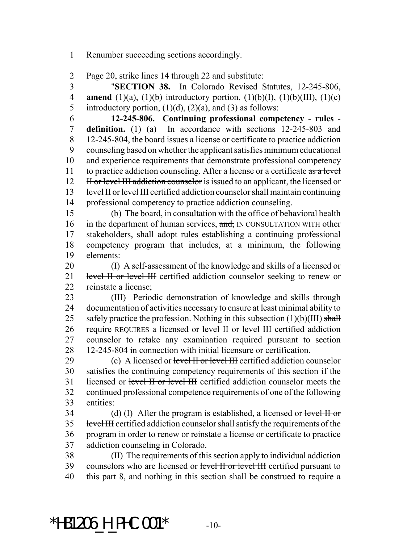Renumber succeeding sections accordingly.

Page 20, strike lines 14 through 22 and substitute:

 "**SECTION 38.** In Colorado Revised Statutes, 12-245-806, **amend** (1)(a), (1)(b) introductory portion, (1)(b)(I), (1)(b)(III), (1)(c) 5 introductory portion,  $(1)(d)$ ,  $(2)(a)$ , and  $(3)$  as follows:

 **12-245-806. Continuing professional competency - rules - definition.** (1) (a) In accordance with sections 12-245-803 and 12-245-804, the board issues a license or certificate to practice addiction counseling based on whether the applicant satisfies minimum educational and experience requirements that demonstrate professional competency 11 to practice addiction counseling. After a license or a certificate  $\frac{a}{a}$  level 12 II H or level III addiction counselor is issued to an applicant, the licensed or 13 level II or level III certified addiction counselor shall maintain continuing professional competency to practice addiction counseling.

 (b) The board, in consultation with the office of behavioral health 16 in the department of human services, and, IN CONSULTATION WITH other stakeholders, shall adopt rules establishing a continuing professional competency program that includes, at a minimum, the following elements:

 (I) A self-assessment of the knowledge and skills of a licensed or 21 level II or level III certified addiction counselor seeking to renew or reinstate a license;

 (III) Periodic demonstration of knowledge and skills through documentation of activities necessary to ensure at least minimal ability to 25 safely practice the profession. Nothing in this subsection  $(1)(b)(III)$  shall 26 require REQUIRES a licensed or level II or level III certified addiction counselor to retake any examination required pursuant to section 12-245-804 in connection with initial licensure or certification.

29 (c) A licensed or level II or level III certified addiction counselor satisfies the continuing competency requirements of this section if the licensed or level II or level III certified addiction counselor meets the continued professional competence requirements of one of the following entities:

34 (d) (I) After the program is established, a licensed or level  $H$  or 35 level III certified addiction counselor shall satisfy the requirements of the program in order to renew or reinstate a license or certificate to practice addiction counseling in Colorado.

 (II) The requirements of this section apply to individual addiction 39 counselors who are licensed or level II or level III certified pursuant to this part 8, and nothing in this section shall be construed to require a

\*HB1206 H PHC.001\*  $-10-$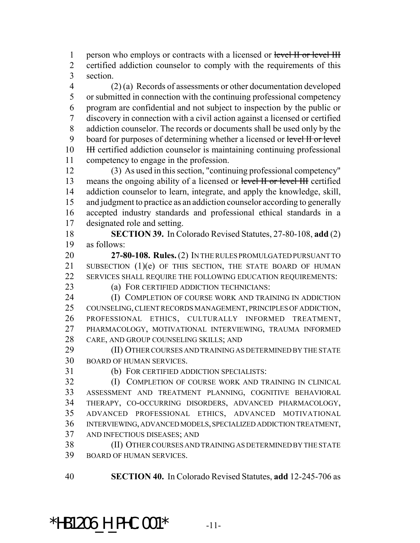1 person who employs or contracts with a licensed or level II or level III certified addiction counselor to comply with the requirements of this section.

 (2) (a) Records of assessments or other documentation developed or submitted in connection with the continuing professional competency program are confidential and not subject to inspection by the public or discovery in connection with a civil action against a licensed or certified addiction counselor. The records or documents shall be used only by the 9 board for purposes of determining whether a licensed or level II or level 10 III certified addiction counselor is maintaining continuing professional competency to engage in the profession.

 (3) As used in this section, "continuing professional competency" 13 means the ongoing ability of a licensed or level II or level III certified addiction counselor to learn, integrate, and apply the knowledge, skill, and judgment to practice as an addiction counselor according to generally accepted industry standards and professional ethical standards in a designated role and setting.

 **SECTION 39.** In Colorado Revised Statutes, 27-80-108, **add** (2) as follows:

 **27-80-108. Rules.** (2) IN THE RULES PROMULGATED PURSUANT TO 21 SUBSECTION (1)(e) OF THIS SECTION, THE STATE BOARD OF HUMAN SERVICES SHALL REQUIRE THE FOLLOWING EDUCATION REQUIREMENTS:

(a) FOR CERTIFIED ADDICTION TECHNICIANS:

**(I) COMPLETION OF COURSE WORK AND TRAINING IN ADDICTION**  COUNSELING, CLIENT RECORDS MANAGEMENT, PRINCIPLES OF ADDICTION, PROFESSIONAL ETHICS, CULTURALLY INFORMED TREATMENT, PHARMACOLOGY, MOTIVATIONAL INTERVIEWING, TRAUMA INFORMED CARE, AND GROUP COUNSELING SKILLS; AND

 (II) OTHER COURSES AND TRAINING AS DETERMINED BY THE STATE BOARD OF HUMAN SERVICES.

(b) FOR CERTIFIED ADDICTION SPECIALISTS:

 (I) COMPLETION OF COURSE WORK AND TRAINING IN CLINICAL ASSESSMENT AND TREATMENT PLANNING, COGNITIVE BEHAVIORAL THERAPY, CO-OCCURRING DISORDERS, ADVANCED PHARMACOLOGY, ADVANCED PROFESSIONAL ETHICS, ADVANCED MOTIVATIONAL INTERVIEWING, ADVANCED MODELS, SPECIALIZED ADDICTION TREATMENT, AND INFECTIOUS DISEASES; AND

 (II) OTHER COURSES AND TRAINING AS DETERMINED BY THE STATE BOARD OF HUMAN SERVICES.

**SECTION 40.** In Colorado Revised Statutes, **add** 12-245-706 as

\*HB1206 H PHC.001\*  $-11$ -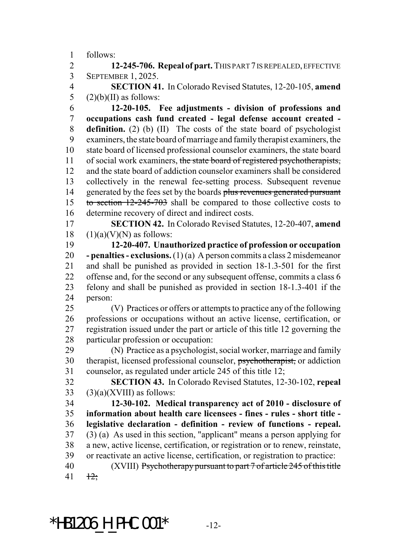follows:

 **12-245-706. Repeal of part.** THIS PART 7 IS REPEALED, EFFECTIVE SEPTEMBER 1, 2025.

 **SECTION 41.** In Colorado Revised Statutes, 12-20-105, **amend** 5  $(2)(b)(II)$  as follows:

 **12-20-105. Fee adjustments - division of professions and occupations cash fund created - legal defense account created - definition.** (2) (b) (II) The costs of the state board of psychologist examiners, the state board of marriage and family therapist examiners, the state board of licensed professional counselor examiners, the state board 11 of social work examiners, the state board of registered psychotherapists, and the state board of addiction counselor examiners shall be considered collectively in the renewal fee-setting process. Subsequent revenue 14 generated by the fees set by the boards plus revenues generated pursuant 15 to section 12-245-703 shall be compared to those collective costs to determine recovery of direct and indirect costs.

 **SECTION 42.** In Colorado Revised Statutes, 12-20-407, **amend** (1)(a)(V)(N) as follows:

 **12-20-407. Unauthorized practice of profession or occupation - penalties - exclusions.** (1) (a) A person commits a class 2 misdemeanor and shall be punished as provided in section 18-1.3-501 for the first offense and, for the second or any subsequent offense, commits a class 6 felony and shall be punished as provided in section 18-1.3-401 if the person:

 (V) Practices or offers or attempts to practice any of the following professions or occupations without an active license, certification, or registration issued under the part or article of this title 12 governing the particular profession or occupation:

 (N) Practice as a psychologist, social worker, marriage and family therapist, licensed professional counselor, psychotherapist, or addiction counselor, as regulated under article 245 of this title 12;

 **SECTION 43.** In Colorado Revised Statutes, 12-30-102, **repeal** (3)(a)(XVIII) as follows:

 **12-30-102. Medical transparency act of 2010 - disclosure of information about health care licensees - fines - rules - short title - legislative declaration - definition - review of functions - repeal.** (3) (a) As used in this section, "applicant" means a person applying for a new, active license, certification, or registration or to renew, reinstate, or reactivate an active license, certification, or registration to practice: (XVIII) Psychotherapy pursuant to part 7 of article 245 of this title  $41 + 12$ ;

\*HB1206 H PHC.001\*  $-12$ -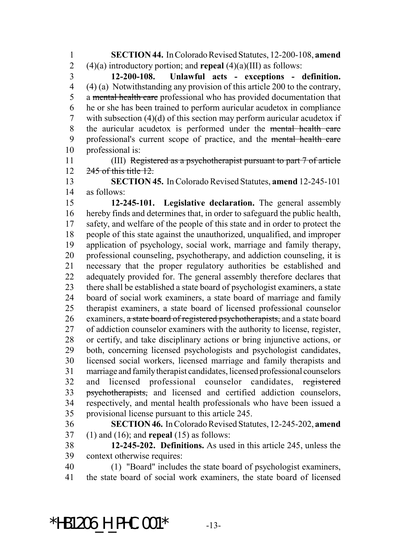**SECTION 44.** In Colorado Revised Statutes, 12-200-108, **amend** (4)(a) introductory portion; and **repeal** (4)(a)(III) as follows:

 **12-200-108. Unlawful acts - exceptions - definition.** (4) (a) Notwithstanding any provision of this article 200 to the contrary, 5 a mental health care professional who has provided documentation that he or she has been trained to perform auricular acudetox in compliance with subsection (4)(d) of this section may perform auricular acudetox if the auricular acudetox is performed under the mental health care professional's current scope of practice, and the mental health care professional is:

 (III) Registered as a psychotherapist pursuant to part 7 of article 12 245 of this title 12.

 **SECTION 45.** In Colorado Revised Statutes, **amend** 12-245-101 as follows:

 **12-245-101. Legislative declaration.** The general assembly hereby finds and determines that, in order to safeguard the public health, safety, and welfare of the people of this state and in order to protect the people of this state against the unauthorized, unqualified, and improper application of psychology, social work, marriage and family therapy, professional counseling, psychotherapy, and addiction counseling, it is necessary that the proper regulatory authorities be established and adequately provided for. The general assembly therefore declares that there shall be established a state board of psychologist examiners, a state board of social work examiners, a state board of marriage and family therapist examiners, a state board of licensed professional counselor 26 examiners, a state board of registered psychotherapists, and a state board of addiction counselor examiners with the authority to license, register, or certify, and take disciplinary actions or bring injunctive actions, or both, concerning licensed psychologists and psychologist candidates, licensed social workers, licensed marriage and family therapists and marriage and family therapist candidates, licensed professional counselors and licensed professional counselor candidates, registered psychotherapists, and licensed and certified addiction counselors, respectively, and mental health professionals who have been issued a provisional license pursuant to this article 245.

 **SECTION 46.** In Colorado Revised Statutes, 12-245-202, **amend** (1) and (16); and **repeal** (15) as follows:

 **12-245-202. Definitions.** As used in this article 245, unless the context otherwise requires:

 (1) "Board" includes the state board of psychologist examiners, the state board of social work examiners, the state board of licensed

\*HB1206 H PHC.001\*  $-13$ -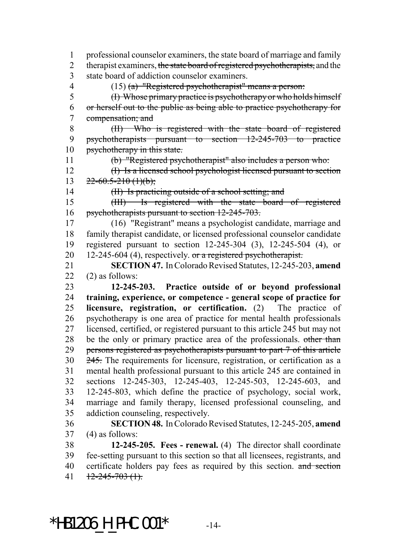professional counselor examiners, the state board of marriage and family 2 therapist examiners, the state board of registered psychotherapists, and the state board of addiction counselor examiners. (15) (a) "Registered psychotherapist" means a person: (I) Whose primary practice is psychotherapy or who holds himself or herself out to the public as being able to practice psychotherapy for compensation; and (II) Who is registered with the state board of registered psychotherapists pursuant to section 12-245-703 to practice 10 psychotherapy in this state. (b) "Registered psychotherapist" also includes a person who: (I) Is a licensed school psychologist licensed pursuant to section  $22 - 60.5 - 210$  (1)(b); 14 (II) Is practicing outside of a school setting; and (III) Is registered with the state board of registered psychotherapists pursuant to section 12-245-703. (16) "Registrant" means a psychologist candidate, marriage and family therapist candidate, or licensed professional counselor candidate registered pursuant to section 12-245-304 (3), 12-245-504 (4), or 20 12-245-604 (4), respectively. or a registered psychotherapist. **SECTION 47.** In Colorado Revised Statutes, 12-245-203, **amend**  $(2)$  as follows: **12-245-203. Practice outside of or beyond professional training, experience, or competence - general scope of practice for licensure, registration, or certification.** (2) The practice of psychotherapy is one area of practice for mental health professionals licensed, certified, or registered pursuant to this article 245 but may not 28 be the only or primary practice area of the professionals. other than persons registered as psychotherapists pursuant to part 7 of this article 30 245. The requirements for licensure, registration, or certification as a mental health professional pursuant to this article 245 are contained in sections 12-245-303, 12-245-403, 12-245-503, 12-245-603, and 12-245-803, which define the practice of psychology, social work, marriage and family therapy, licensed professional counseling, and addiction counseling, respectively. **SECTION 48.** In Colorado Revised Statutes, 12-245-205, **amend** (4) as follows: **12-245-205. Fees - renewal.** (4) The director shall coordinate

 fee-setting pursuant to this section so that all licensees, registrants, and 40 certificate holders pay fees as required by this section. and section 41  $\frac{12-245-703}{1}$ 

\*HB1206 H PHC.001\*  $-14$ -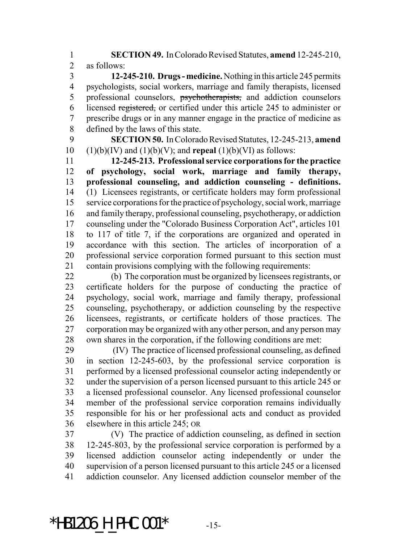**SECTION 49.** In Colorado Revised Statutes, **amend** 12-245-210, as follows:

 **12-245-210. Drugs - medicine.** Nothing in this article 245 permits psychologists, social workers, marriage and family therapists, licensed 5 professional counselors, psychotherapists, and addiction counselors licensed registered, or certified under this article 245 to administer or prescribe drugs or in any manner engage in the practice of medicine as defined by the laws of this state.

 **SECTION 50.** In Colorado Revised Statutes, 12-245-213, **amend** 10  $(1)(b)(IV)$  and  $(1)(b)(V)$ ; and **repeal**  $(1)(b)(VI)$  as follows:

 **12-245-213. Professional service corporations for the practice of psychology, social work, marriage and family therapy, professional counseling, and addiction counseling - definitions.** (1) Licensees registrants, or certificate holders may form professional service corporations for the practice of psychology, social work, marriage and family therapy, professional counseling, psychotherapy, or addiction counseling under the "Colorado Business Corporation Act", articles 101 to 117 of title 7, if the corporations are organized and operated in accordance with this section. The articles of incorporation of a professional service corporation formed pursuant to this section must contain provisions complying with the following requirements:

 (b) The corporation must be organized by licensees registrants, or certificate holders for the purpose of conducting the practice of psychology, social work, marriage and family therapy, professional counseling, psychotherapy, or addiction counseling by the respective licensees, registrants, or certificate holders of those practices. The corporation may be organized with any other person, and any person may own shares in the corporation, if the following conditions are met:

29 (IV) The practice of licensed professional counseling, as defined in section 12-245-603, by the professional service corporation is performed by a licensed professional counselor acting independently or under the supervision of a person licensed pursuant to this article 245 or a licensed professional counselor. Any licensed professional counselor member of the professional service corporation remains individually responsible for his or her professional acts and conduct as provided elsewhere in this article 245; OR

 (V) The practice of addiction counseling, as defined in section 12-245-803, by the professional service corporation is performed by a licensed addiction counselor acting independently or under the supervision of a person licensed pursuant to this article 245 or a licensed addiction counselor. Any licensed addiction counselor member of the

\*HB1206 H PHC.001\*  $-15$ -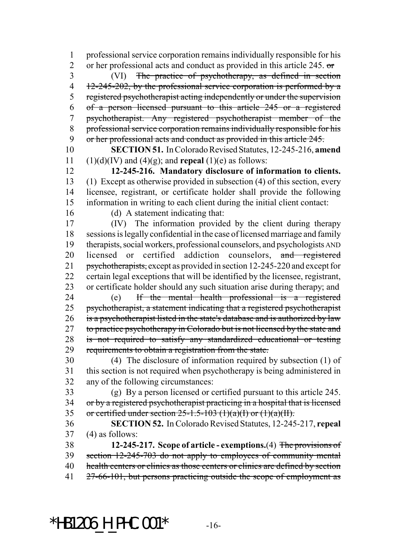professional service corporation remains individually responsible for his 2 or her professional acts and conduct as provided in this article 245. or (VI) The practice of psychotherapy, as defined in section 4 12-245-202, by the professional service corporation is performed by a 5 registered psychotherapist acting independently or under the supervision of a person licensed pursuant to this article 245 or a registered psychotherapist. Any registered psychotherapist member of the professional service corporation remains individually responsible for his 9 or her professional acts and conduct as provided in this article 245.

 **SECTION 51.** In Colorado Revised Statutes, 12-245-216, **amend** 11 (1)(d)(IV) and (4)(g); and **repeal** (1)(e) as follows:

 **12-245-216. Mandatory disclosure of information to clients.** (1) Except as otherwise provided in subsection (4) of this section, every licensee, registrant, or certificate holder shall provide the following information in writing to each client during the initial client contact:

(d) A statement indicating that:

 (IV) The information provided by the client during therapy sessions is legally confidential in the case of licensed marriage and family therapists, social workers, professional counselors, and psychologists AND 20 licensed or certified addiction counselors, and registered 21 psychotherapists, except as provided in section 12-245-220 and except for certain legal exceptions that will be identified by the licensee, registrant, or certificate holder should any such situation arise during therapy; and (e) If the mental health professional is a registered

 psychotherapist, a statement indicating that a registered psychotherapist is a psychotherapist listed in the state's database and is authorized by law 27 to practice psychotherapy in Colorado but is not licensed by the state and is not required to satisfy any standardized educational or testing requirements to obtain a registration from the state.

 (4) The disclosure of information required by subsection (1) of this section is not required when psychotherapy is being administered in any of the following circumstances:

 (g) By a person licensed or certified pursuant to this article 245. 34 or by a registered psychotherapist practicing in a hospital that is licensed 35 or certified under section -1.5-103 (1)(a)(I) or (1)(a)(II).

 **SECTION 52.** In Colorado Revised Statutes, 12-245-217, **repeal** (4) as follows:

 **12-245-217. Scope of article - exemptions.**(4) The provisions of section 12-245-703 do not apply to employees of community mental health centers or clinics as those centers or clinics are defined by section 41 27-66-101, but persons practicing outside the scope of employment as

\*HB1206 H PHC.001\*  $-16$ -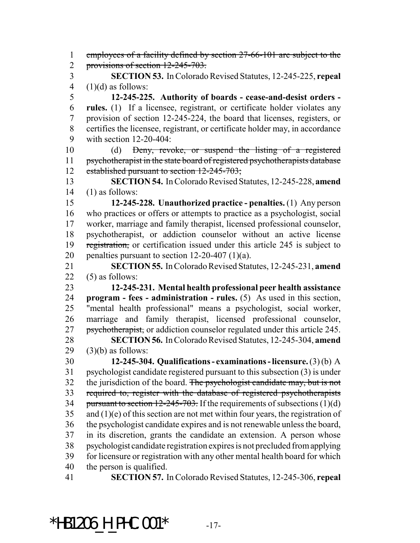1 employees of a facility defined by section 27-66-101 are subject to the 2 provisions of section 12-245-703. **SECTION 53.** In Colorado Revised Statutes, 12-245-225, **repeal**  $(1)(d)$  as follows: **12-245-225. Authority of boards - cease-and-desist orders - rules.** (1) If a licensee, registrant, or certificate holder violates any provision of section 12-245-224, the board that licenses, registers, or certifies the licensee, registrant, or certificate holder may, in accordance with section 12-20-404: (d) Deny, revoke, or suspend the listing of a registered 11 psychotherapist in the state board of registered psychotherapists database 12 established pursuant to section 12-245-703; **SECTION 54.** In Colorado Revised Statutes, 12-245-228, **amend** (1) as follows: **12-245-228. Unauthorized practice - penalties.** (1) Any person who practices or offers or attempts to practice as a psychologist, social worker, marriage and family therapist, licensed professional counselor, psychotherapist, or addiction counselor without an active license 19 registration, or certification issued under this article 245 is subject to 20 penalties pursuant to section  $12-20-407$  (1)(a). **SECTION 55.** In Colorado Revised Statutes, 12-245-231, **amend** (5) as follows: **12-245-231. Mental health professional peer health assistance program - fees - administration - rules.** (5) As used in this section, "mental health professional" means a psychologist, social worker, marriage and family therapist, licensed professional counselor, psychotherapist, or addiction counselor regulated under this article 245. **SECTION 56.** In Colorado Revised Statutes, 12-245-304, **amend**  $(3)(b)$  as follows: **12-245-304. Qualifications - examinations - licensure.** (3) (b) A psychologist candidate registered pursuant to this subsection (3) is under 32 the jurisdiction of the board. The psychologist candidate may, but is not required to, register with the database of registered psychotherapists 34 pursuant to section  $12-245-703$ . If the requirements of subsections  $(1)(d)$  and (1)(e) of this section are not met within four years, the registration of the psychologist candidate expires and is not renewable unless the board, in its discretion, grants the candidate an extension. A person whose psychologist candidate registration expires is not precluded from applying for licensure or registration with any other mental health board for which the person is qualified. **SECTION 57.** In Colorado Revised Statutes, 12-245-306, **repeal**

\*HB1206 H PHC.001\*  $-17$ -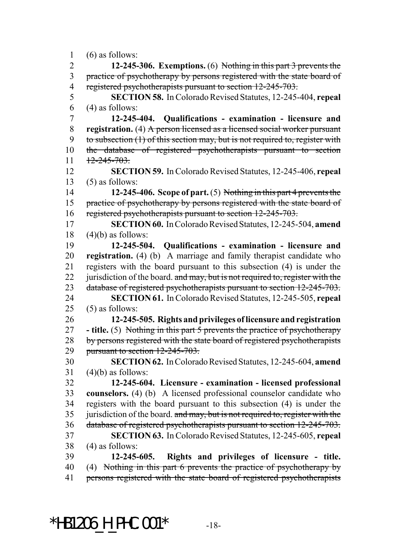(6) as follows:

 **12-245-306. Exemptions.** (6) Nothing in this part 3 prevents the 3 practice of psychotherapy by persons registered with the state board of 4 registered psychotherapists pursuant to section 12-245-703. **SECTION 58.** In Colorado Revised Statutes, 12-245-404, **repeal** (4) as follows: **12-245-404. Qualifications - examination - licensure and registration.** (4) A person licensed as a licensed social worker pursuant 9 to subsection (1) of this section may, but is not required to, register with the database of registered psychotherapists pursuant to section  $11 \quad \frac{12-245-703}{27}$  **SECTION 59.** In Colorado Revised Statutes, 12-245-406, **repeal**  $(5)$  as follows: **12-245-406. Scope of part.** (5) Nothing in this part 4 prevents the 15 practice of psychotherapy by persons registered with the state board of 16 registered psychotherapists pursuant to section 12-245-703. **SECTION 60.** In Colorado Revised Statutes, 12-245-504, **amend** (4)(b) as follows: **12-245-504. Qualifications - examination - licensure and registration.** (4) (b) A marriage and family therapist candidate who registers with the board pursuant to this subsection (4) is under the 22 jurisdiction of the board. and may, but is not required to, register with the 23 database of registered psychotherapists pursuant to section 12-245-703. **SECTION 61.** In Colorado Revised Statutes, 12-245-505, **repeal** (5) as follows: **12-245-505. Rights and privileges of licensure and registration - title.** (5) Nothing in this part 5 prevents the practice of psychotherapy 28 by persons registered with the state board of registered psychotherapists pursuant to section 12-245-703. **SECTION 62.** In Colorado Revised Statutes, 12-245-604, **amend** (4)(b) as follows: **12-245-604. Licensure - examination - licensed professional counselors.** (4) (b) A licensed professional counselor candidate who registers with the board pursuant to this subsection (4) is under the 35 jurisdiction of the board. and may, but is not required to, register with the database of registered psychotherapists pursuant to section 12-245-703. **SECTION 63.** In Colorado Revised Statutes, 12-245-605, **repeal** (4) as follows: **12-245-605. Rights and privileges of licensure - title.** (4) Nothing in this part 6 prevents the practice of psychotherapy by 41 persons registered with the state board of registered psychotherapists

\*HB1206 H PHC.001\*  $-18$ -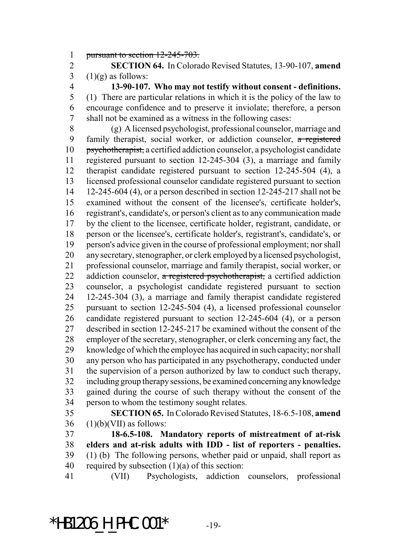pursuant to section 12-245-703.

 **SECTION 64.** In Colorado Revised Statutes, 13-90-107, **amend** 3  $(1)(g)$  as follows:

 **13-90-107. Who may not testify without consent - definitions.** (1) There are particular relations in which it is the policy of the law to encourage confidence and to preserve it inviolate; therefore, a person shall not be examined as a witness in the following cases:

 (g) A licensed psychologist, professional counselor, marriage and family therapist, social worker, or addiction counselor, a registered psychotherapist, a certified addiction counselor, a psychologist candidate registered pursuant to section 12-245-304 (3), a marriage and family therapist candidate registered pursuant to section 12-245-504 (4), a licensed professional counselor candidate registered pursuant to section 12-245-604 (4), or a person described in section 12-245-217 shall not be examined without the consent of the licensee's, certificate holder's, registrant's, candidate's, or person's client as to any communication made by the client to the licensee, certificate holder, registrant, candidate, or person or the licensee's, certificate holder's, registrant's, candidate's, or person's advice given in the course of professional employment; nor shall any secretary, stenographer, or clerk employed by a licensed psychologist, professional counselor, marriage and family therapist, social worker, or 22 addiction counselor, a registered psychotherapist, a certified addiction counselor, a psychologist candidate registered pursuant to section 12-245-304 (3), a marriage and family therapist candidate registered pursuant to section 12-245-504 (4), a licensed professional counselor candidate registered pursuant to section 12-245-604 (4), or a person described in section 12-245-217 be examined without the consent of the employer of the secretary, stenographer, or clerk concerning any fact, the knowledge of which the employee has acquired in such capacity; nor shall any person who has participated in any psychotherapy, conducted under the supervision of a person authorized by law to conduct such therapy, including group therapy sessions, be examined concerning any knowledge gained during the course of such therapy without the consent of the person to whom the testimony sought relates.

 **SECTION 65.** In Colorado Revised Statutes, 18-6.5-108, **amend** (1)(b)(VII) as follows:

 **18-6.5-108. Mandatory reports of mistreatment of at-risk elders and at-risk adults with IDD - list of reporters - penalties.** (1) (b) The following persons, whether paid or unpaid, shall report as 40 required by subsection  $(1)(a)$  of this section:

(VII) Psychologists, addiction counselors, professional

\*HB1206 H PHC.001\*  $-19$ -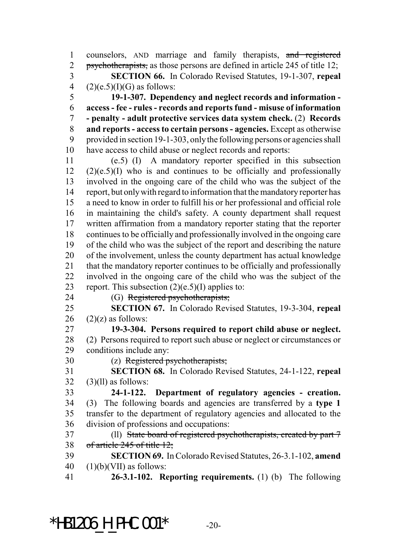counselors, AND marriage and family therapists, and registered 2 psychotherapists, as those persons are defined in article 245 of title 12; **SECTION 66.** In Colorado Revised Statutes, 19-1-307, **repeal**  $(2)(e.5)(I)(G)$  as follows:

 **19-1-307. Dependency and neglect records and information - access - fee - rules - records and reports fund - misuse of information - penalty - adult protective services data system check.** (2) **Records and reports - access to certain persons - agencies.** Except as otherwise provided in section 19-1-303, only the following persons or agencies shall have access to child abuse or neglect records and reports:

 (e.5) (I) A mandatory reporter specified in this subsection (2)(e.5)(I) who is and continues to be officially and professionally involved in the ongoing care of the child who was the subject of the report, but only with regard to information that the mandatory reporter has a need to know in order to fulfill his or her professional and official role in maintaining the child's safety. A county department shall request written affirmation from a mandatory reporter stating that the reporter continues to be officially and professionally involved in the ongoing care of the child who was the subject of the report and describing the nature of the involvement, unless the county department has actual knowledge that the mandatory reporter continues to be officially and professionally involved in the ongoing care of the child who was the subject of the 23 report. This subsection  $(2)(e.5)(I)$  applies to:

24 (G) Registered psychotherapists;

 **SECTION 67.** In Colorado Revised Statutes, 19-3-304, **repeal** 26  $(2)(z)$  as follows:

 **19-3-304. Persons required to report child abuse or neglect.** (2) Persons required to report such abuse or neglect or circumstances or conditions include any:

(z) Registered psychotherapists;

 **SECTION 68.** In Colorado Revised Statutes, 24-1-122, **repeal** (3)(ll) as follows:

 **24-1-122. Department of regulatory agencies - creation.** (3) The following boards and agencies are transferred by a **type 1** transfer to the department of regulatory agencies and allocated to the division of professions and occupations:

 (ll) State board of registered psychotherapists, created by part 7 of article 245 of title 12;

 **SECTION 69.** In Colorado Revised Statutes, 26-3.1-102, **amend** 40  $(1)(b)(VII)$  as follows:

**26-3.1-102. Reporting requirements.** (1) (b) The following

\*HB1206 H PHC.001\*  $-20-$